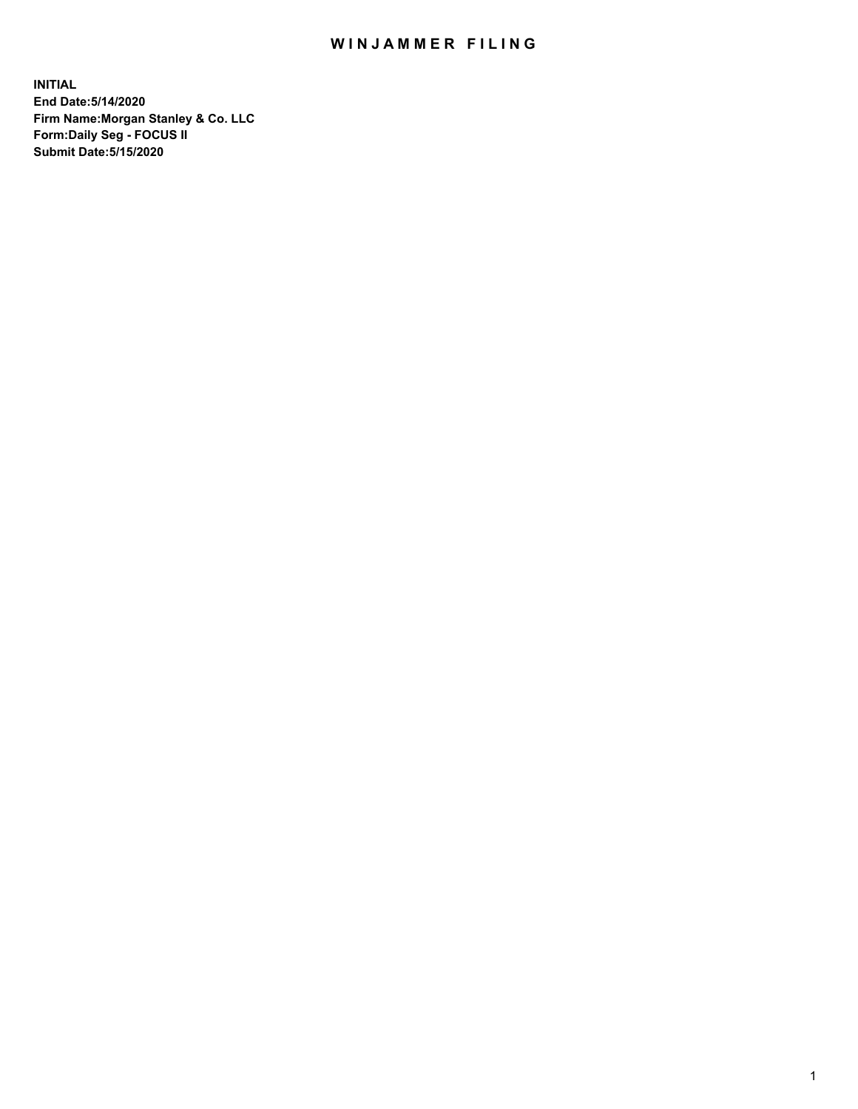## WIN JAMMER FILING

**INITIAL End Date:5/14/2020 Firm Name:Morgan Stanley & Co. LLC Form:Daily Seg - FOCUS II Submit Date:5/15/2020**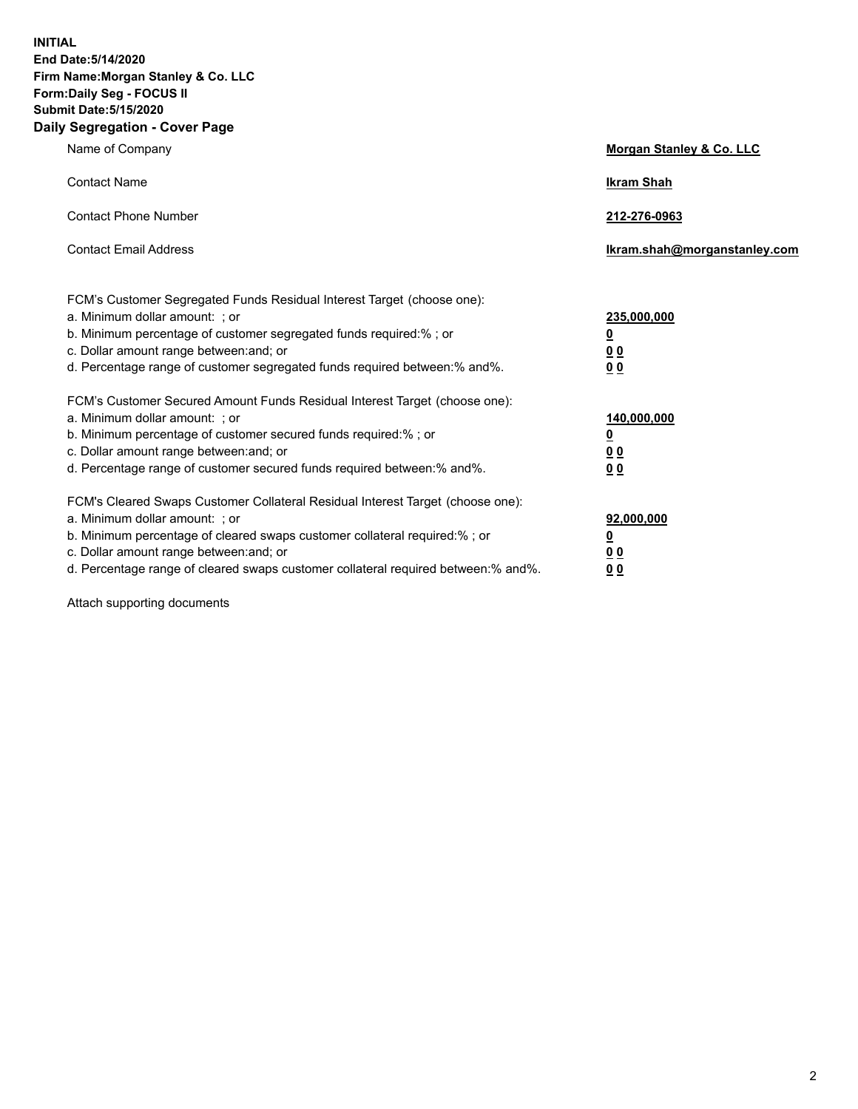**INITIAL End Date:5/14/2020 Firm Name:Morgan Stanley & Co. LLC Form:Daily Seg - FOCUS II Submit Date:5/15/2020 Daily Segregation - Cover Page**

| Name of Company                                                                                                                                                                                                                                                                                                               | Morgan Stanley & Co. LLC                               |
|-------------------------------------------------------------------------------------------------------------------------------------------------------------------------------------------------------------------------------------------------------------------------------------------------------------------------------|--------------------------------------------------------|
| <b>Contact Name</b>                                                                                                                                                                                                                                                                                                           | <b>Ikram Shah</b>                                      |
| <b>Contact Phone Number</b>                                                                                                                                                                                                                                                                                                   | 212-276-0963                                           |
| <b>Contact Email Address</b>                                                                                                                                                                                                                                                                                                  | Ikram.shah@morganstanley.com                           |
| FCM's Customer Segregated Funds Residual Interest Target (choose one):<br>a. Minimum dollar amount: ; or<br>b. Minimum percentage of customer segregated funds required:% ; or<br>c. Dollar amount range between: and; or<br>d. Percentage range of customer segregated funds required between:% and%.                        | 235,000,000<br><u>0</u><br><u>00</u><br>0 <sup>0</sup> |
| FCM's Customer Secured Amount Funds Residual Interest Target (choose one):<br>a. Minimum dollar amount: ; or<br>b. Minimum percentage of customer secured funds required:%; or<br>c. Dollar amount range between: and; or<br>d. Percentage range of customer secured funds required between:% and%.                           | 140,000,000<br><u>0</u><br><u>00</u><br>0 <sub>0</sub> |
| FCM's Cleared Swaps Customer Collateral Residual Interest Target (choose one):<br>a. Minimum dollar amount: ; or<br>b. Minimum percentage of cleared swaps customer collateral required:%; or<br>c. Dollar amount range between: and; or<br>d. Percentage range of cleared swaps customer collateral required between:% and%. | 92,000,000<br><u>0</u><br>0 Q<br>00                    |

Attach supporting documents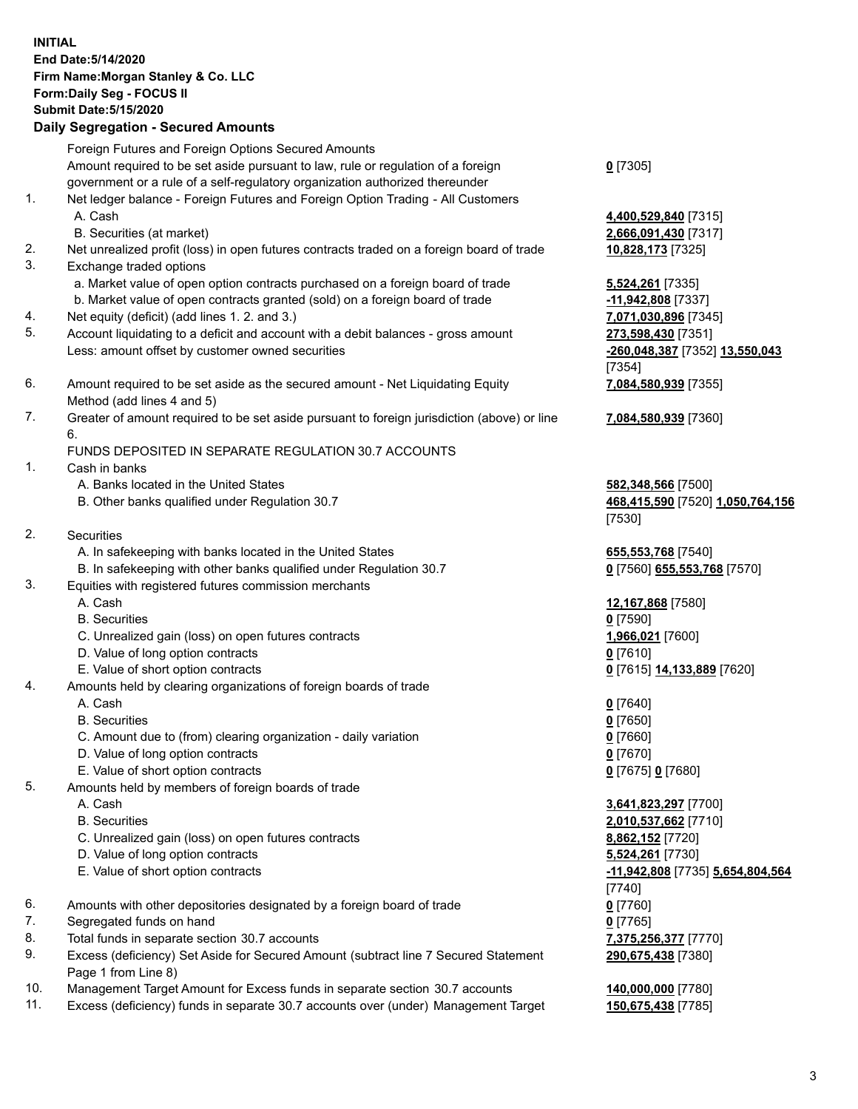## **INITIAL End Date:5/14/2020 Firm Name:Morgan Stanley & Co. LLC Form:Daily Seg - FOCUS II Submit Date:5/15/2020 Daily Segregation - Secured Amounts** Foreign Futures and Foreign Options Secured Amounts Amount required to be set aside pursuant to law, rule or regulation of a foreign government or a rule of a self-regulatory organization authorized thereunder 1. Net ledger balance - Foreign Futures and Foreign Option Trading - All Customers A. Cash **4,400,529,840** [7315] B. Securities (at market) **2,666,091,430** [7317] 2. Net unrealized profit (loss) in open futures contracts traded on a foreign board of trade **10,828,173** [7325] 3. Exchange traded options a. Market value of open option contracts purchased on a foreign board of trade **5,524,261** [7335] b. Market value of open contracts granted (sold) on a foreign board of trade **-11,942,808** [7337] 4. Net equity (deficit) (add lines 1. 2. and 3.) **7,071,030,896** [7345] 5. Account liquidating to a deficit and account with a debit balances - gross amount **273,598,430** [7351] Less: amount offset by customer owned securities **-260,048,387** [7352] **13,550,043** 6. Amount required to be set aside as the secured amount - Net Liquidating Equity Method (add lines 4 and 5) 7. Greater of amount required to be set aside pursuant to foreign jurisdiction (above) or line 6. FUNDS DEPOSITED IN SEPARATE REGULATION 30.7 ACCOUNTS 1. Cash in banks A. Banks located in the United States **582,348,566** [7500] B. Other banks qualified under Regulation 30.7 **468,415,590** [7520] **1,050,764,156** 2. Securities A. In safekeeping with banks located in the United States **655,553,768** [7540] B. In safekeeping with other banks qualified under Regulation 30.7 **0** [7560] **655,553,768** [7570] 3. Equities with registered futures commission merchants A. Cash **12,167,868** [7580] B. Securities **0** [7590] C. Unrealized gain (loss) on open futures contracts **1,966,021** [7600] D. Value of long option contracts **0** [7610] E. Value of short option contracts **0** [7615] **14,133,889** [7620] 4. Amounts held by clearing organizations of foreign boards of trade A. Cash **0** [7640] B. Securities **0** [7650] C. Amount due to (from) clearing organization - daily variation **0** [7660] D. Value of long option contracts **0** [7670] E. Value of short option contracts **0** [7675] **0** [7680] 5. Amounts held by members of foreign boards of trade A. Cash **3,641,823,297** [7700] B. Securities **2,010,537,662** [7710] C. Unrealized gain (loss) on open futures contracts **8,862,152** [7720] D. Value of long option contracts **5,524,261** [7730] E. Value of short option contracts **-11,942,808** [7735] **5,654,804,564** 6. Amounts with other depositories designated by a foreign board of trade **0** [7760]

- 7. Segregated funds on hand **0** [7765]
- 8. Total funds in separate section 30.7 accounts **7,375,256,377** [7770]
- 9. Excess (deficiency) Set Aside for Secured Amount (subtract line 7 Secured Statement Page 1 from Line 8)
- 10. Management Target Amount for Excess funds in separate section 30.7 accounts **140,000,000** [7780]
- 11. Excess (deficiency) funds in separate 30.7 accounts over (under) Management Target **150,675,438** [7785]

**0** [7305]

[7354] **7,084,580,939** [7355]

**7,084,580,939** [7360]

[7530]

[7740] **290,675,438** [7380]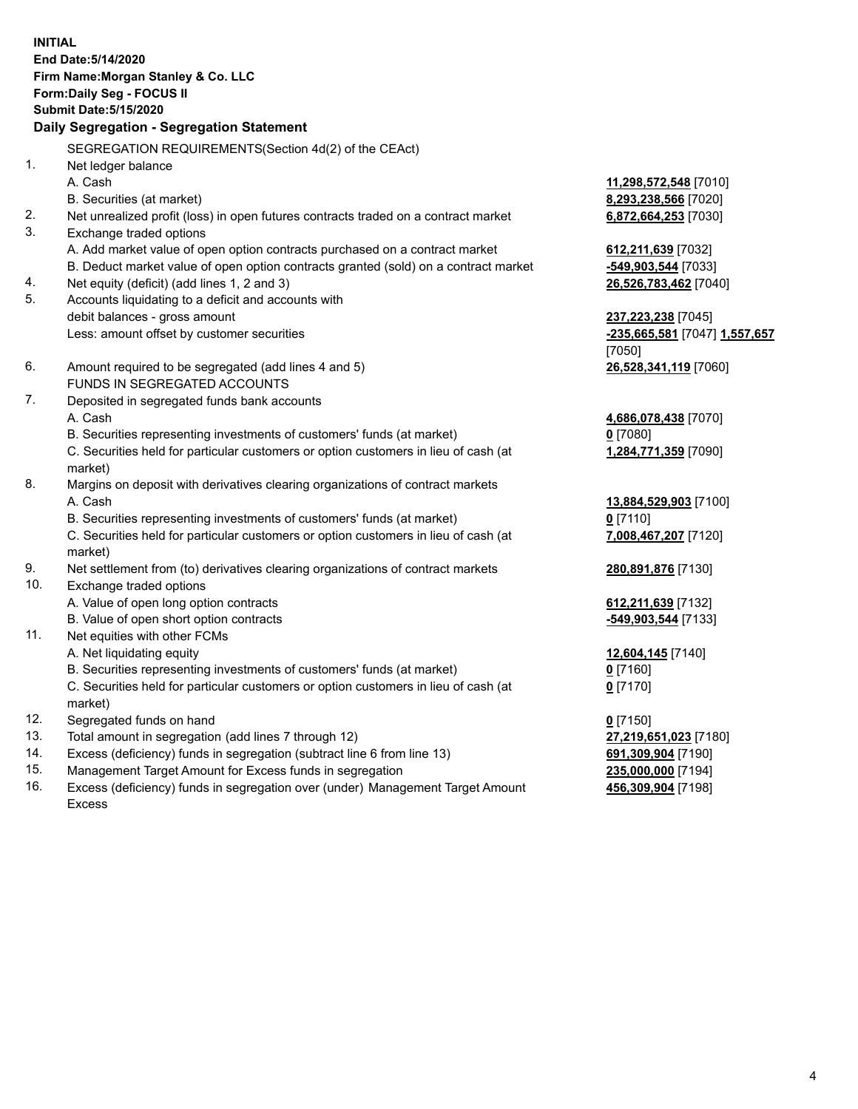**INITIAL End Date:5/14/2020 Firm Name:Morgan Stanley & Co. LLC Form:Daily Seg - FOCUS II Submit Date:5/15/2020 Daily Segregation - Segregation Statement** SEGREGATION REQUIREMENTS(Section 4d(2) of the CEAct) 1. Net ledger balance A. Cash **11,298,572,548** [7010] B. Securities (at market) **8,293,238,566** [7020] 2. Net unrealized profit (loss) in open futures contracts traded on a contract market **6,872,664,253** [7030] 3. Exchange traded options A. Add market value of open option contracts purchased on a contract market **612,211,639** [7032] B. Deduct market value of open option contracts granted (sold) on a contract market **-549,903,544** [7033] 4. Net equity (deficit) (add lines 1, 2 and 3) **26,526,783,462** [7040] 5. Accounts liquidating to a deficit and accounts with debit balances - gross amount **237,223,238** [7045] Less: amount offset by customer securities **-235,665,581** [7047] **1,557,657** [7050] 6. Amount required to be segregated (add lines 4 and 5) **26,528,341,119** [7060] FUNDS IN SEGREGATED ACCOUNTS 7. Deposited in segregated funds bank accounts A. Cash **4,686,078,438** [7070] B. Securities representing investments of customers' funds (at market) **0** [7080] C. Securities held for particular customers or option customers in lieu of cash (at market) **1,284,771,359** [7090] 8. Margins on deposit with derivatives clearing organizations of contract markets A. Cash **13,884,529,903** [7100] B. Securities representing investments of customers' funds (at market) **0** [7110] C. Securities held for particular customers or option customers in lieu of cash (at market) **7,008,467,207** [7120] 9. Net settlement from (to) derivatives clearing organizations of contract markets **280,891,876** [7130] 10. Exchange traded options A. Value of open long option contracts **612,211,639** [7132] B. Value of open short option contracts **-549,903,544** [7133] 11. Net equities with other FCMs A. Net liquidating equity **12,604,145** [7140] B. Securities representing investments of customers' funds (at market) **0** [7160] C. Securities held for particular customers or option customers in lieu of cash (at market) **0** [7170] 12. Segregated funds on hand **0** [7150] 13. Total amount in segregation (add lines 7 through 12) **27,219,651,023** [7180] 14. Excess (deficiency) funds in segregation (subtract line 6 from line 13) **691,309,904** [7190] 15. Management Target Amount for Excess funds in segregation **235,000,000** [7194]

16. Excess (deficiency) funds in segregation over (under) Management Target Amount Excess

**456,309,904** [7198]